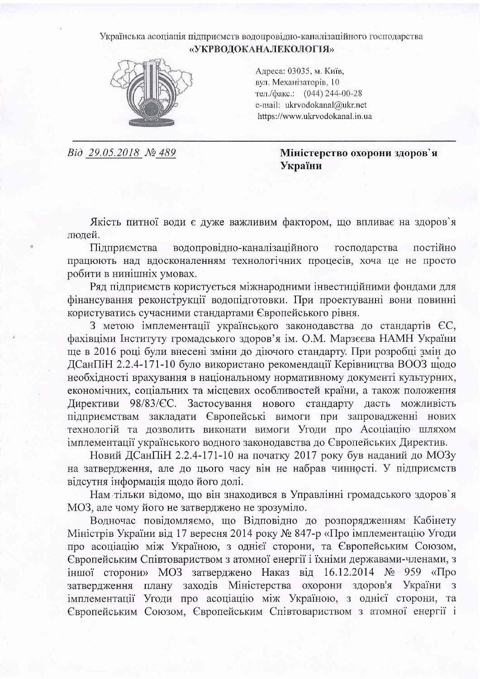## Українська асоціація підприємств водопровідно-каналізаційного господарства «УКРВОДОКАНАЛЕКОЛОГІЯ»



Адреса: 03035, м. Київ, вул. Механізаторів, 10 тел./факс.: (044) 244-00-28 e-mail: ukryodokanal@ukr.net https://www.ukrvodokanal.in.ua

Bid 29.05.2018 № 489

Міністерство охорони здоров'я України

Якість питної води є дуже важливим фактором, що впливає на здоров'я людей.

Пілприємства водопровідно-каналізаційного господарства постійно працюють над вдосконаленням технологічних процесів, хоча це не просто робити в нинішніх умовах.

Ряд підприємств користується міжнародними інвестиційними фондами для фінансування реконструкції водопідготовки. При проектуванні вони повинні користуватись сучасними стандартами Європейського рівня.

З метою імплементації українського законодавства до стандартів ЄС, фахівціми Інституту громадського здоров'я ім. О.М. Марзеева НАМН України ще в 2016 році були внесені зміни до діючого стандарту. При розробці змін до ДСанПіН 2.2.4-171-10 було використано рекомендації Керівництва ВООЗ щодо необхідності врахування в національному нормативному документі культурних, економічних, соціальних та місцевих особливостей країни, а також положення Директиви 98/83/СС. Застосування нового стандарту дасть можливість підприємствам закладати Європейські вимоги при запровадженні нових технологій та дозволить виконати вимоги Угоди про Асоціацію шляхом імплементації українського водного законодавства до Європейських Директив.

Новий ДСанПіН 2.2.4-171-10 на початку 2017 року був наданий до МОЗу на затвердження, але до цього часу він не набрав чинності. У підприємств відсутня інформація щодо його долі.

Нам тільки відомо, що він знаходився в Управлінні громадського здоров'я МОЗ, але чому його не затверджено не зрозуміло.

Водночас повідомляємо, що Відповідно до розпорядженням Кабінету Міністрів України від 17 вересня 2014 року № 847-р «Про імплементацію Угоди про асоціацію між Україною, з однієї сторони, та Європейським Союзом, Європейським Співтовариством з атомної енергії і їхніми державами-членами, з іншої сторони» МОЗ затверджено Наказ від 16.12.2014 № 959 «Про затвердження плану заходів Міністерства охорони здоров'я України з імплементації Угоди про асоціацію між Україною, з однієї сторони, та Європейським Союзом, Європейським Співтовариством з атомної енергії і